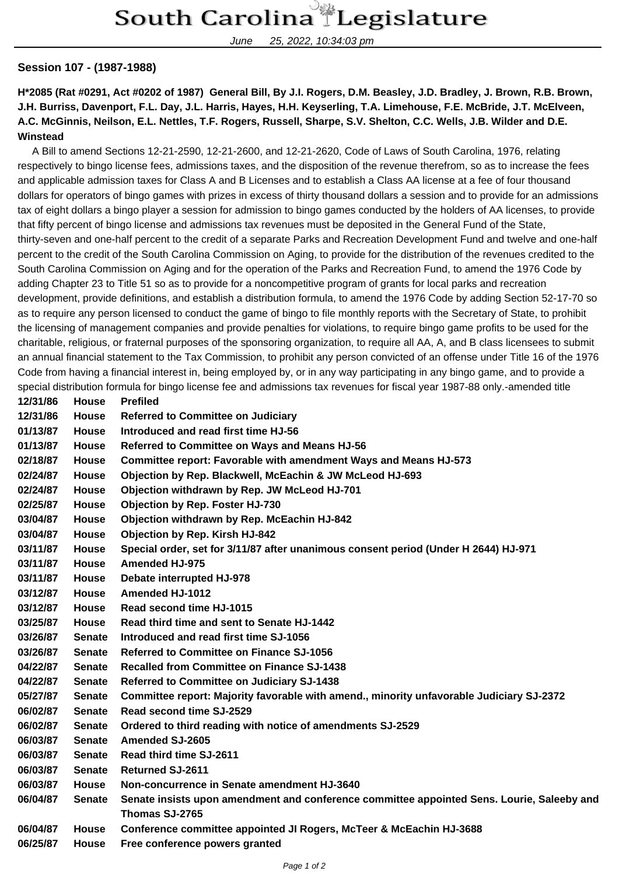## South Carolina Legislature

June 25, 2022, 10:34:03 pm

## **Session 107 - (1987-1988)**

**H\*2085 (Rat #0291, Act #0202 of 1987) General Bill, By J.I. Rogers, D.M. Beasley, J.D. Bradley, J. Brown, R.B. Brown, J.H. Burriss, Davenport, F.L. Day, J.L. Harris, Hayes, H.H. Keyserling, T.A. Limehouse, F.E. McBride, J.T. McElveen, A.C. McGinnis, Neilson, E.L. Nettles, T.F. Rogers, Russell, Sharpe, S.V. Shelton, C.C. Wells, J.B. Wilder and D.E. Winstead**

 A Bill to amend Sections 12-21-2590, 12-21-2600, and 12-21-2620, Code of Laws of South Carolina, 1976, relating respectively to bingo license fees, admissions taxes, and the disposition of the revenue therefrom, so as to increase the fees and applicable admission taxes for Class A and B Licenses and to establish a Class AA license at a fee of four thousand dollars for operators of bingo games with prizes in excess of thirty thousand dollars a session and to provide for an admissions tax of eight dollars a bingo player a session for admission to bingo games conducted by the holders of AA licenses, to provide that fifty percent of bingo license and admissions tax revenues must be deposited in the General Fund of the State, thirty-seven and one-half percent to the credit of a separate Parks and Recreation Development Fund and twelve and one-half percent to the credit of the South Carolina Commission on Aging, to provide for the distribution of the revenues credited to the South Carolina Commission on Aging and for the operation of the Parks and Recreation Fund, to amend the 1976 Code by adding Chapter 23 to Title 51 so as to provide for a noncompetitive program of grants for local parks and recreation development, provide definitions, and establish a distribution formula, to amend the 1976 Code by adding Section 52-17-70 so as to require any person licensed to conduct the game of bingo to file monthly reports with the Secretary of State, to prohibit the licensing of management companies and provide penalties for violations, to require bingo game profits to be used for the charitable, religious, or fraternal purposes of the sponsoring organization, to require all AA, A, and B class licensees to submit an annual financial statement to the Tax Commission, to prohibit any person convicted of an offense under Title 16 of the 1976 Code from having a financial interest in, being employed by, or in any way participating in any bingo game, and to provide a special distribution formula for bingo license fee and admissions tax revenues for fiscal year 1987-88 only.-amended title

| 12/31/86 | <b>House</b>  | <b>Prefiled</b>                                                                            |
|----------|---------------|--------------------------------------------------------------------------------------------|
| 12/31/86 | <b>House</b>  | <b>Referred to Committee on Judiciary</b>                                                  |
| 01/13/87 | <b>House</b>  | Introduced and read first time HJ-56                                                       |
| 01/13/87 | House         | Referred to Committee on Ways and Means HJ-56                                              |
| 02/18/87 | <b>House</b>  | Committee report: Favorable with amendment Ways and Means HJ-573                           |
| 02/24/87 | <b>House</b>  | Objection by Rep. Blackwell, McEachin & JW McLeod HJ-693                                   |
| 02/24/87 | House         | Objection withdrawn by Rep. JW McLeod HJ-701                                               |
| 02/25/87 | <b>House</b>  | <b>Objection by Rep. Foster HJ-730</b>                                                     |
| 03/04/87 | House         | Objection withdrawn by Rep. McEachin HJ-842                                                |
| 03/04/87 | <b>House</b>  | <b>Objection by Rep. Kirsh HJ-842</b>                                                      |
| 03/11/87 | <b>House</b>  | Special order, set for 3/11/87 after unanimous consent period (Under H 2644) HJ-971        |
| 03/11/87 | <b>House</b>  | <b>Amended HJ-975</b>                                                                      |
| 03/11/87 | <b>House</b>  | <b>Debate interrupted HJ-978</b>                                                           |
| 03/12/87 | House         | <b>Amended HJ-1012</b>                                                                     |
| 03/12/87 | <b>House</b>  | Read second time HJ-1015                                                                   |
| 03/25/87 | House         | Read third time and sent to Senate HJ-1442                                                 |
| 03/26/87 | <b>Senate</b> | Introduced and read first time SJ-1056                                                     |
| 03/26/87 | <b>Senate</b> | <b>Referred to Committee on Finance SJ-1056</b>                                            |
| 04/22/87 | <b>Senate</b> | <b>Recalled from Committee on Finance SJ-1438</b>                                          |
| 04/22/87 | <b>Senate</b> | Referred to Committee on Judiciary SJ-1438                                                 |
| 05/27/87 | <b>Senate</b> | Committee report: Majority favorable with amend., minority unfavorable Judiciary SJ-2372   |
| 06/02/87 | <b>Senate</b> | Read second time SJ-2529                                                                   |
| 06/02/87 | <b>Senate</b> | Ordered to third reading with notice of amendments SJ-2529                                 |
| 06/03/87 | <b>Senate</b> | <b>Amended SJ-2605</b>                                                                     |
| 06/03/87 | <b>Senate</b> | Read third time SJ-2611                                                                    |
| 06/03/87 | <b>Senate</b> | <b>Returned SJ-2611</b>                                                                    |
| 06/03/87 | <b>House</b>  | Non-concurrence in Senate amendment HJ-3640                                                |
| 06/04/87 | <b>Senate</b> | Senate insists upon amendment and conference committee appointed Sens. Lourie, Saleeby and |
|          |               | Thomas SJ-2765                                                                             |
| 06/04/87 | <b>House</b>  | Conference committee appointed JI Rogers, McTeer & McEachin HJ-3688                        |
| 06/25/87 | House         | Free conference powers granted                                                             |
|          |               |                                                                                            |